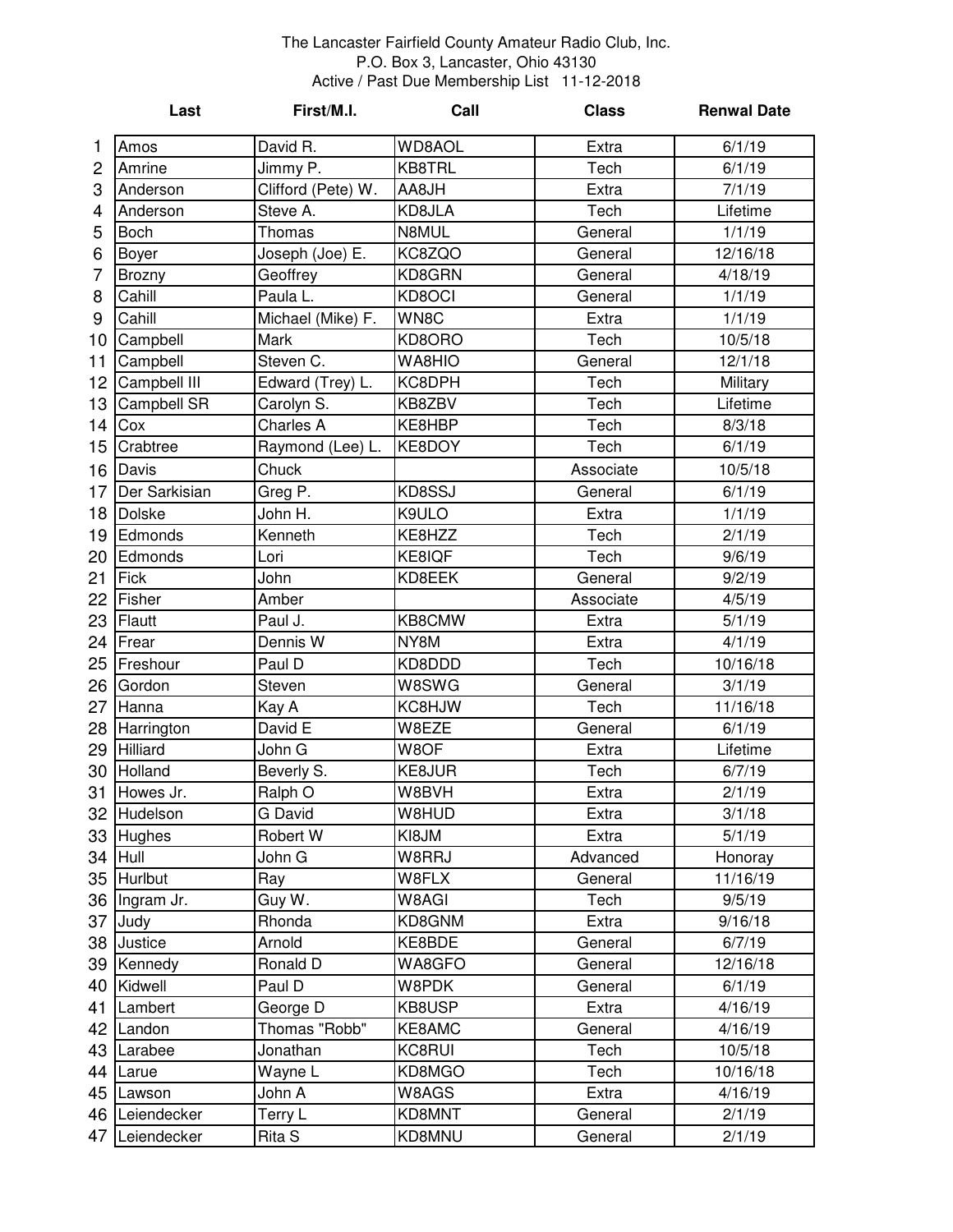## The Lancaster Fairfield County Amateur Radio Club, Inc. P.O. Box 3, Lancaster, Ohio 43130 Active / Past Due Membership List 11-12-2018

|                | Last          | First/M.I.         | Call          | <b>Class</b> | <b>Renwal Date</b> |
|----------------|---------------|--------------------|---------------|--------------|--------------------|
| 1              | Amos          | David R.           | <b>WD8AOL</b> | Extra        | 6/1/19             |
| $\overline{c}$ | Amrine        | Jimmy P.           | KB8TRL        | Tech         | 6/1/19             |
| 3              | Anderson      | Clifford (Pete) W. | AA8JH         | Extra        | 7/1/19             |
| 4              | Anderson      | Steve A.           | KD8JLA        | Tech         | Lifetime           |
| 5              | <b>Boch</b>   | <b>Thomas</b>      | N8MUL         | General      | 1/1/19             |
| 6              | Boyer         | Joseph (Joe) E.    | KC8ZQO        | General      | 12/16/18           |
| $\overline{7}$ | Brozny        | Geoffrey           | KD8GRN        | General      | 4/18/19            |
| 8              | Cahill        | Paula L.           | KD8OCI        | General      | 1/1/19             |
| 9              | Cahill        | Michael (Mike) F.  | WN8C          | Extra        | 1/1/19             |
| 10             | Campbell      | Mark               | KD8ORO        | Tech         | 10/5/18            |
| 11             | Campbell      | Steven C.          | WA8HIO        | General      | 12/1/18            |
| 12             | Campbell III  | Edward (Trey) L.   | KC8DPH        | Tech         | Military           |
| 13             | Campbell SR   | Carolyn S.         | KB8ZBV        | Tech         | Lifetime           |
| 14             | Cox           | Charles A          | KE8HBP        | Tech         | 8/3/18             |
| 15             | Crabtree      | Raymond (Lee) L.   | KE8DOY        | Tech         | 6/1/19             |
| 16             | Davis         | Chuck              |               | Associate    | 10/5/18            |
| 17             | Der Sarkisian | Greg P.            | KD8SSJ        | General      | 6/1/19             |
| 18             | <b>Dolske</b> | John H.            | K9ULO         | Extra        | 1/1/19             |
| 19             | Edmonds       | Kenneth            | KE8HZZ        | Tech         | 2/1/19             |
| 20             | Edmonds       | Lori               | KE8IQF        | Tech         | 9/6/19             |
| 21             | Fick          | John               | KD8EEK        | General      | 9/2/19             |
| 22             | Fisher        | Amber              |               | Associate    | 4/5/19             |
| 23             | Flautt        | Paul J.            | KB8CMW        | Extra        | 5/1/19             |
| 24             | Frear         | Dennis W           | NY8M          | Extra        | 4/1/19             |
| 25             | Freshour      | Paul D             | KD8DDD        | Tech         | 10/16/18           |
| 26             | Gordon        | Steven             | W8SWG         | General      | 3/1/19             |
| 27             | Hanna         | Kay A              | KC8HJW        | Tech         | 11/16/18           |
| 28             | Harrington    | David E            | W8EZE         | General      | 6/1/19             |
| 29             | Hilliard      | John G             | W8OF          | Extra        | Lifetime           |
| 30             | Holland       | Beverly S.         | KE8JUR        | Tech         | 6/7/19             |
|                | 31 Howes Jr.  | Ralph O            | W8BVH         | Extra        | 2/1/19             |
|                | 32 Hudelson   | G David            | W8HUD         | Extra        | 3/1/18             |
| 33             | Hughes        | Robert W           | KI8JM         | Extra        | 5/1/19             |
|                | 34 Hull       | John G             | W8RRJ         | Advanced     | Honoray            |
| 35             | Hurlbut       | Ray                | W8FLX         | General      | 11/16/19           |
| 36             | Ingram Jr.    | Guy W.             | W8AGI         | Tech         | 9/5/19             |
| 37             | Judy          | Rhonda             | KD8GNM        | Extra        | 9/16/18            |
| 38             | Justice       | Arnold             | KE8BDE        | General      | 6/7/19             |
| 39             | Kennedy       | Ronald D           | WA8GFO        | General      | 12/16/18           |
| 40             | Kidwell       | Paul D             | W8PDK         | General      | 6/1/19             |
| 41             | Lambert       | George D           | KB8USP        | Extra        | 4/16/19            |
| 42             | Landon        | Thomas "Robb"      | KE8AMC        | General      | 4/16/19            |
| 43             | Larabee       | Jonathan           | KC8RUI        | Tech         | 10/5/18            |
| 44             | Larue         | Wayne L            | KD8MGO        | Tech         | 10/16/18           |
| 45             | Lawson        | John A             | W8AGS         | Extra        | 4/16/19            |
| 46             | Leiendecker   | Terry L            | KD8MNT        | General      | 2/1/19             |
| 47             | Leiendecker   | Rita S             | KD8MNU        | General      | 2/1/19             |